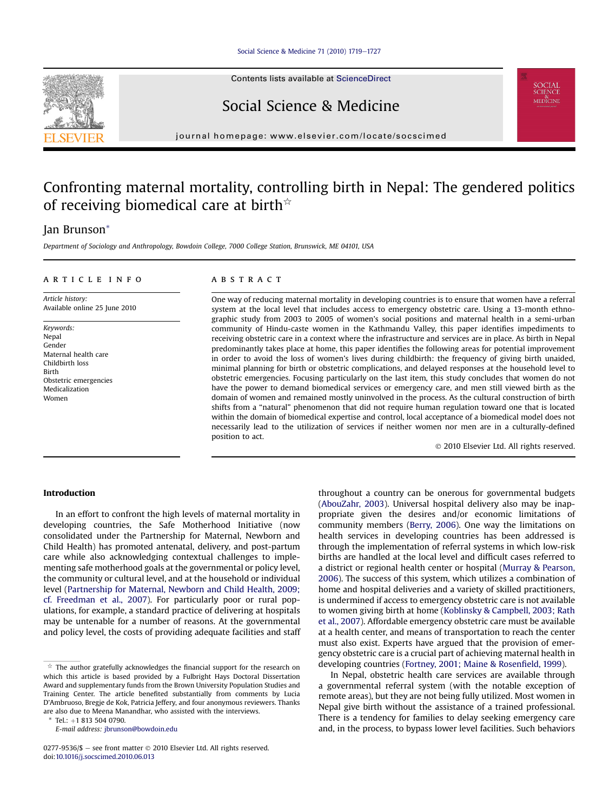#### [Social Science & Medicine 71 \(2010\) 1719](http://dx.doi.org/10.1016/j.socscimed.2010.06.013)-[1727](http://dx.doi.org/10.1016/j.socscimed.2010.06.013)

Contents lists available at [ScienceDirect](www.sciencedirect.com/science/journal/02779536)

# Social Science & Medicine

journal homepage: [www.elsevier.com/locate/socscimed](http://www.elsevier.com/locate/socscimed)

# Confronting maternal mortality, controlling birth in Nepal: The gendered politics of receiving biomedical care at birth $\dot{\phi}$

## Jan Brunson\*

Department of Sociology and Anthropology, Bowdoin College, 7000 College Station, Brunswick, ME 04101, USA

#### article info

Article history: Available online 25 June 2010

Keywords: Nepal Gender Maternal health care Childbirth loss Birth Obstetric emergencies Medicalization Women

#### **ABSTRACT**

One way of reducing maternal mortality in developing countries is to ensure that women have a referral system at the local level that includes access to emergency obstetric care. Using a 13-month ethnographic study from 2003 to 2005 of women's social positions and maternal health in a semi-urban community of Hindu-caste women in the Kathmandu Valley, this paper identifies impediments to receiving obstetric care in a context where the infrastructure and services are in place. As birth in Nepal predominantly takes place at home, this paper identifies the following areas for potential improvement in order to avoid the loss of women's lives during childbirth: the frequency of giving birth unaided, minimal planning for birth or obstetric complications, and delayed responses at the household level to obstetric emergencies. Focusing particularly on the last item, this study concludes that women do not have the power to demand biomedical services or emergency care, and men still viewed birth as the domain of women and remained mostly uninvolved in the process. As the cultural construction of birth shifts from a "natural" phenomenon that did not require human regulation toward one that is located within the domain of biomedical expertise and control, local acceptance of a biomedical model does not necessarily lead to the utilization of services if neither women nor men are in a culturally-defined position to act.

2010 Elsevier Ltd. All rights reserved.

**SOCIAL**<br>SCIENCE MEDICINE

#### Introduction

In an effort to confront the high levels of maternal mortality in developing countries, the Safe Motherhood Initiative (now consolidated under the Partnership for Maternal, Newborn and Child Health) has promoted antenatal, delivery, and post-partum care while also acknowledging contextual challenges to implementing safe motherhood goals at the governmental or policy level, the community or cultural level, and at the household or individual level [\(Partnership for Maternal, Newborn and Child Health, 2009;](#page-8-0) [cf. Freedman et al., 2007\)](#page-8-0). For particularly poor or rural populations, for example, a standard practice of delivering at hospitals may be untenable for a number of reasons. At the governmental and policy level, the costs of providing adequate facilities and staff

Tel.:  $+18135040790$ .

E-mail address: [jbrunson@bowdoin.edu](mailto:jbrunson@bowdoin.edu)

0277-9536/\$  $-$  see front matter  $\odot$  2010 Elsevier Ltd. All rights reserved. doi[:10.1016/j.socscimed.2010.06.013](http://dx.doi.org/10.1016/j.socscimed.2010.06.013)

throughout a country can be onerous for governmental budgets ([AbouZahr, 2003\)](#page-7-0). Universal hospital delivery also may be inappropriate given the desires and/or economic limitations of community members ([Berry, 2006\)](#page-7-0). One way the limitations on health services in developing countries has been addressed is through the implementation of referral systems in which low-risk births are handled at the local level and difficult cases referred to a district or regional health center or hospital ([Murray & Pearson,](#page-8-0) [2006\)](#page-8-0). The success of this system, which utilizes a combination of home and hospital deliveries and a variety of skilled practitioners, is undermined if access to emergency obstetric care is not available to women giving birth at home [\(Koblinsky & Campbell, 2003; Rath](#page-8-0) [et al., 2007\)](#page-8-0). Affordable emergency obstetric care must be available at a health center, and means of transportation to reach the center must also exist. Experts have argued that the provision of emergency obstetric care is a crucial part of achieving maternal health in developing countries ([Fortney, 2001; Maine & Rosen](#page-8-0)field, 1999).

In Nepal, obstetric health care services are available through a governmental referral system (with the notable exception of remote areas), but they are not being fully utilized. Most women in Nepal give birth without the assistance of a trained professional. There is a tendency for families to delay seeking emergency care and, in the process, to bypass lower level facilities. Such behaviors



The author gratefully acknowledges the financial support for the research on which this article is based provided by a Fulbright Hays Doctoral Dissertation Award and supplementary funds from the Brown University Population Studies and Training Center. The article benefited substantially from comments by Lucia D'Ambruoso, Bregje de Kok, Patricia Jeffery, and four anonymous reviewers. Thanks are also due to Meena Manandhar, who assisted with the interviews.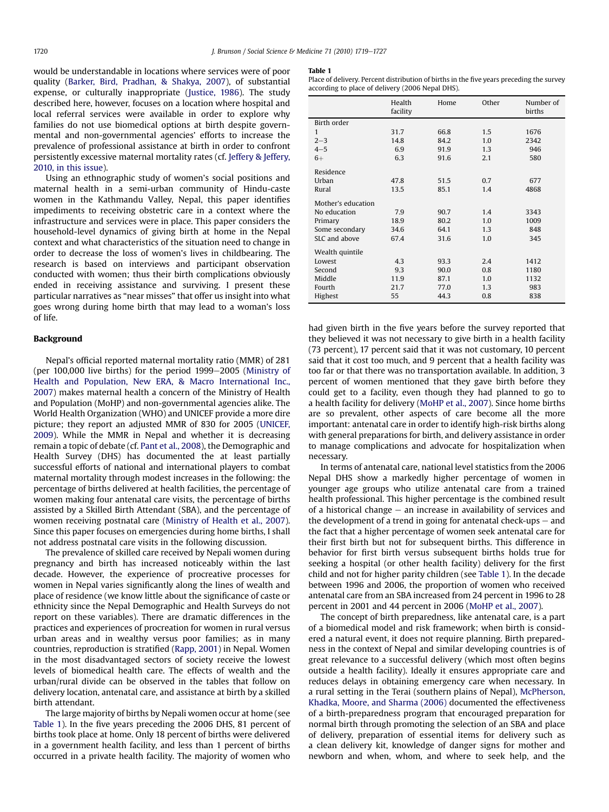would be understandable in locations where services were of poor quality ([Barker, Bird, Pradhan, & Shakya, 2007\)](#page-7-0), of substantial expense, or culturally inappropriate [\(Justice, 1986\)](#page-8-0). The study described here, however, focuses on a location where hospital and local referral services were available in order to explore why families do not use biomedical options at birth despite governmental and non-governmental agencies' efforts to increase the prevalence of professional assistance at birth in order to confront persistently excessive maternal mortality rates (cf. [Jeffery & Jeffery,](#page-8-0) [2010, in this issue\)](#page-8-0).

Using an ethnographic study of women's social positions and maternal health in a semi-urban community of Hindu-caste women in the Kathmandu Valley, Nepal, this paper identifies impediments to receiving obstetric care in a context where the infrastructure and services were in place. This paper considers the household-level dynamics of giving birth at home in the Nepal context and what characteristics of the situation need to change in order to decrease the loss of women's lives in childbearing. The research is based on interviews and participant observation conducted with women; thus their birth complications obviously ended in receiving assistance and surviving. I present these particular narratives as "near misses" that offer us insight into what goes wrong during home birth that may lead to a woman's loss of life.

### Background

Nepal's official reported maternal mortality ratio (MMR) of 281 (per  $100,000$  live births) for the period  $1999-2005$  [\(Ministry of](#page-8-0) [Health and Population, New ERA, & Macro International Inc.,](#page-8-0) [2007\)](#page-8-0) makes maternal health a concern of the Ministry of Health and Population (MoHP) and non-governmental agencies alike. The World Health Organization (WHO) and UNICEF provide a more dire picture; they report an adjusted MMR of 830 for 2005 [\(UNICEF,](#page-8-0) [2009](#page-8-0)). While the MMR in Nepal and whether it is decreasing remain a topic of debate (cf. [Pant et al., 2008\)](#page-8-0), the Demographic and Health Survey (DHS) has documented the at least partially successful efforts of national and international players to combat maternal mortality through modest increases in the following: the percentage of births delivered at health facilities, the percentage of women making four antenatal care visits, the percentage of births assisted by a Skilled Birth Attendant (SBA), and the percentage of women receiving postnatal care [\(Ministry of Health et al., 2007](#page-8-0)). Since this paper focuses on emergencies during home births, I shall not address postnatal care visits in the following discussion.

The prevalence of skilled care received by Nepali women during pregnancy and birth has increased noticeably within the last decade. However, the experience of procreative processes for women in Nepal varies significantly along the lines of wealth and place of residence (we know little about the significance of caste or ethnicity since the Nepal Demographic and Health Surveys do not report on these variables). There are dramatic differences in the practices and experiences of procreation for women in rural versus urban areas and in wealthy versus poor families; as in many countries, reproduction is stratified [\(Rapp, 2001](#page-8-0)) in Nepal. Women in the most disadvantaged sectors of society receive the lowest levels of biomedical health care. The effects of wealth and the urban/rural divide can be observed in the tables that follow on delivery location, antenatal care, and assistance at birth by a skilled birth attendant.

The large majority of births by Nepali women occur at home (see Table 1). In the five years preceding the 2006 DHS, 81 percent of births took place at home. Only 18 percent of births were delivered in a government health facility, and less than 1 percent of births occurred in a private health facility. The majority of women who

#### Table 1

Place of delivery. Percent distribution of births in the five years preceding the survey according to place of delivery (2006 Nepal DHS).

|                    | Health<br>facility | Home | Other | Number of<br>births |
|--------------------|--------------------|------|-------|---------------------|
| Birth order        |                    |      |       |                     |
| 1                  | 31.7               | 66.8 | 1.5   | 1676                |
| $2 - 3$            | 14.8               | 84.2 | 1.0   | 2342                |
| $4 - 5$            | 6.9                | 91.9 | 1.3   | 946                 |
| $6+$               | 6.3                | 91.6 | 2.1   | 580                 |
| Residence          |                    |      |       |                     |
| Urban              | 47.8               | 51.5 | 0.7   | 677                 |
| Rural              | 13.5               | 85.1 | 1.4   | 4868                |
| Mother's education |                    |      |       |                     |
| No education       | 7.9                | 90.7 | 1.4   | 3343                |
| Primary            | 18.9               | 80.2 | 1.0   | 1009                |
| Some secondary     | 34.6               | 64.1 | 1.3   | 848                 |
| SLC and above      | 67.4               | 31.6 | 1.0   | 345                 |
| Wealth quintile    |                    |      |       |                     |
| Lowest             | 4.3                | 93.3 | 2.4   | 1412                |
| Second             | 9.3                | 90.0 | 0.8   | 1180                |
| Middle             | 11.9               | 87.1 | 1.0   | 1132                |
| Fourth             | 21.7               | 77.0 | 1.3   | 983                 |
| Highest            | 55                 | 44.3 | 0.8   | 838                 |

had given birth in the five years before the survey reported that they believed it was not necessary to give birth in a health facility (73 percent), 17 percent said that it was not customary, 10 percent said that it cost too much, and 9 percent that a health facility was too far or that there was no transportation available. In addition, 3 percent of women mentioned that they gave birth before they could get to a facility, even though they had planned to go to a health facility for delivery ([MoHP et al., 2007\)](#page-8-0). Since home births are so prevalent, other aspects of care become all the more important: antenatal care in order to identify high-risk births along with general preparations for birth, and delivery assistance in order to manage complications and advocate for hospitalization when necessary.

In terms of antenatal care, national level statistics from the 2006 Nepal DHS show a markedly higher percentage of women in younger age groups who utilize antenatal care from a trained health professional. This higher percentage is the combined result of a historical change  $-$  an increase in availability of services and the development of a trend in going for antenatal check-ups  $-$  and the fact that a higher percentage of women seek antenatal care for their first birth but not for subsequent births. This difference in behavior for first birth versus subsequent births holds true for seeking a hospital (or other health facility) delivery for the first child and not for higher parity children (see Table 1). In the decade between 1996 and 2006, the proportion of women who received antenatal care from an SBA increased from 24 percent in 1996 to 28 percent in 2001 and 44 percent in 2006 [\(MoHP et al., 2007\)](#page-8-0).

The concept of birth preparedness, like antenatal care, is a part of a biomedical model and risk framework; when birth is considered a natural event, it does not require planning. Birth preparedness in the context of Nepal and similar developing countries is of great relevance to a successful delivery (which most often begins outside a health facility). Ideally it ensures appropriate care and reduces delays in obtaining emergency care when necessary. In a rural setting in the Terai (southern plains of Nepal), [McPherson,](#page-8-0) [Khadka, Moore, and Sharma \(2006\)](#page-8-0) documented the effectiveness of a birth-preparedness program that encouraged preparation for normal birth through promoting the selection of an SBA and place of delivery, preparation of essential items for delivery such as a clean delivery kit, knowledge of danger signs for mother and newborn and when, whom, and where to seek help, and the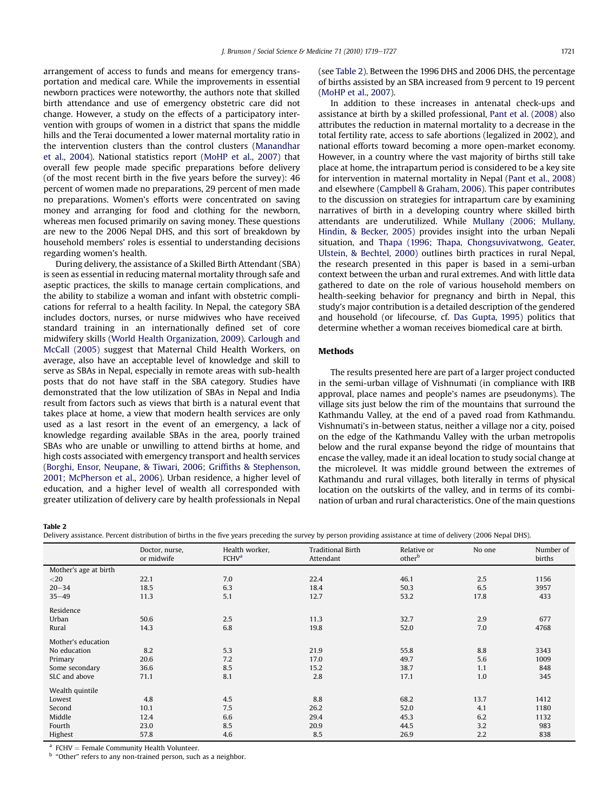arrangement of access to funds and means for emergency transportation and medical care. While the improvements in essential newborn practices were noteworthy, the authors note that skilled birth attendance and use of emergency obstetric care did not change. However, a study on the effects of a participatory intervention with groups of women in a district that spans the middle hills and the Terai documented a lower maternal mortality ratio in the intervention clusters than the control clusters ([Manandhar](#page-8-0) [et al., 2004](#page-8-0)). National statistics report ([MoHP et al., 2007](#page-8-0)) that overall few people made specific preparations before delivery (of the most recent birth in the five years before the survey): 46 percent of women made no preparations, 29 percent of men made no preparations. Women's efforts were concentrated on saving money and arranging for food and clothing for the newborn, whereas men focused primarily on saving money. These questions are new to the 2006 Nepal DHS, and this sort of breakdown by household members' roles is essential to understanding decisions regarding women's health.

During delivery, the assistance of a Skilled Birth Attendant (SBA) is seen as essential in reducing maternal mortality through safe and aseptic practices, the skills to manage certain complications, and the ability to stabilize a woman and infant with obstetric complications for referral to a health facility. In Nepal, the category SBA includes doctors, nurses, or nurse midwives who have received standard training in an internationally defined set of core midwifery skills [\(World Health Organization, 2009](#page-8-0)). [Carlough and](#page-7-0) [McCall \(2005\)](#page-7-0) suggest that Maternal Child Health Workers, on average, also have an acceptable level of knowledge and skill to serve as SBAs in Nepal, especially in remote areas with sub-health posts that do not have staff in the SBA category. Studies have demonstrated that the low utilization of SBAs in Nepal and India result from factors such as views that birth is a natural event that takes place at home, a view that modern health services are only used as a last resort in the event of an emergency, a lack of knowledge regarding available SBAs in the area, poorly trained SBAs who are unable or unwilling to attend births at home, and high costs associated with emergency transport and health services ([Borghi, Ensor, Neupane, & Tiwari, 2006; Grif](#page-7-0)fiths & Stephenson, [2001; McPherson et al., 2006\)](#page-7-0). Urban residence, a higher level of education, and a higher level of wealth all corresponded with greater utilization of delivery care by health professionals in Nepal

(see Table 2). Between the 1996 DHS and 2006 DHS, the percentage of births assisted by an SBA increased from 9 percent to 19 percent ([MoHP et al., 2007](#page-8-0)).

In addition to these increases in antenatal check-ups and assistance at birth by a skilled professional, [Pant et al. \(2008\)](#page-8-0) also attributes the reduction in maternal mortality to a decrease in the total fertility rate, access to safe abortions (legalized in 2002), and national efforts toward becoming a more open-market economy. However, in a country where the vast majority of births still take place at home, the intrapartum period is considered to be a key site for intervention in maternal mortality in Nepal [\(Pant et al., 2008\)](#page-8-0) and elsewhere ([Campbell & Graham, 2006\)](#page-7-0). This paper contributes to the discussion on strategies for intrapartum care by examining narratives of birth in a developing country where skilled birth attendants are underutilized. While [Mullany \(2006; Mullany,](#page-8-0) [Hindin, & Becker, 2005\)](#page-8-0) provides insight into the urban Nepali situation, and [Thapa \(1996; Thapa, Chongsuvivatwong, Geater,](#page-8-0) [Ulstein, & Bechtel, 2000\)](#page-8-0) outlines birth practices in rural Nepal, the research presented in this paper is based in a semi-urban context between the urban and rural extremes. And with little data gathered to date on the role of various household members on health-seeking behavior for pregnancy and birth in Nepal, this study's major contribution is a detailed description of the gendered and household (or lifecourse, cf. [Das Gupta, 1995\)](#page-8-0) politics that determine whether a woman receives biomedical care at birth.

#### Methods

The results presented here are part of a larger project conducted in the semi-urban village of Vishnumati (in compliance with IRB approval, place names and people's names are pseudonyms). The village sits just below the rim of the mountains that surround the Kathmandu Valley, at the end of a paved road from Kathmandu. Vishnumati's in-between status, neither a village nor a city, poised on the edge of the Kathmandu Valley with the urban metropolis below and the rural expanse beyond the ridge of mountains that encase the valley, made it an ideal location to study social change at the microlevel. It was middle ground between the extremes of Kathmandu and rural villages, both literally in terms of physical location on the outskirts of the valley, and in terms of its combination of urban and rural characteristics. One of the main questions

#### Table 2

Delivery assistance. Percent distribution of births in the five years preceding the survey by person providing assistance at time of delivery (2006 Nepal DHS).

|                       | Doctor, nurse,<br>or midwife | Health worker,<br><b>FCHV<sup>a</sup></b> | <b>Traditional Birth</b><br>Attendant | Relative or<br>otherb | No one | Number of<br>births |
|-----------------------|------------------------------|-------------------------------------------|---------------------------------------|-----------------------|--------|---------------------|
| Mother's age at birth |                              |                                           |                                       |                       |        |                     |
| ${<}20$               | 22.1                         | 7.0                                       | 22.4                                  | 46.1                  | 2.5    | 1156                |
| $20 - 34$             | 18.5                         | 6.3                                       | 18.4                                  | 50.3                  | 6.5    | 3957                |
| $35 - 49$             | 11.3                         | 5.1                                       | 12.7                                  | 53.2                  | 17.8   | 433                 |
| Residence             |                              |                                           |                                       |                       |        |                     |
| Urban                 | 50.6                         | 2.5                                       | 11.3                                  | 32.7                  | 2.9    | 677                 |
| Rural                 | 14.3                         | 6.8                                       | 19.8                                  | 52.0                  | 7.0    | 4768                |
| Mother's education    |                              |                                           |                                       |                       |        |                     |
| No education          | 8.2                          | 5.3                                       | 21.9                                  | 55.8                  | 8.8    | 3343                |
| Primary               | 20.6                         | 7.2                                       | 17.0                                  | 49.7                  | 5.6    | 1009                |
| Some secondary        | 36.6                         | 8.5                                       | 15.2                                  | 38.7                  | 1.1    | 848                 |
| SLC and above         | 71.1                         | 8.1                                       | 2.8                                   | 17.1                  | 1.0    | 345                 |
| Wealth quintile       |                              |                                           |                                       |                       |        |                     |
| Lowest                | 4.8                          | 4.5                                       | 8.8                                   | 68.2                  | 13.7   | 1412                |
| Second                | 10.1                         | 7.5                                       | 26.2                                  | 52.0                  | 4.1    | 1180                |
| Middle                | 12.4                         | 6.6                                       | 29.4                                  | 45.3                  | 6.2    | 1132                |
| Fourth                | 23.0                         | 8.5                                       | 20.9                                  | 44.5                  | 3.2    | 983                 |
| Highest               | 57.8                         | 4.6                                       | 8.5                                   | 26.9                  | 2.2    | 838                 |

 $FCHV = Female Community Health Volumeer. "Other" refers to any non-trained person, such as a neighbor.$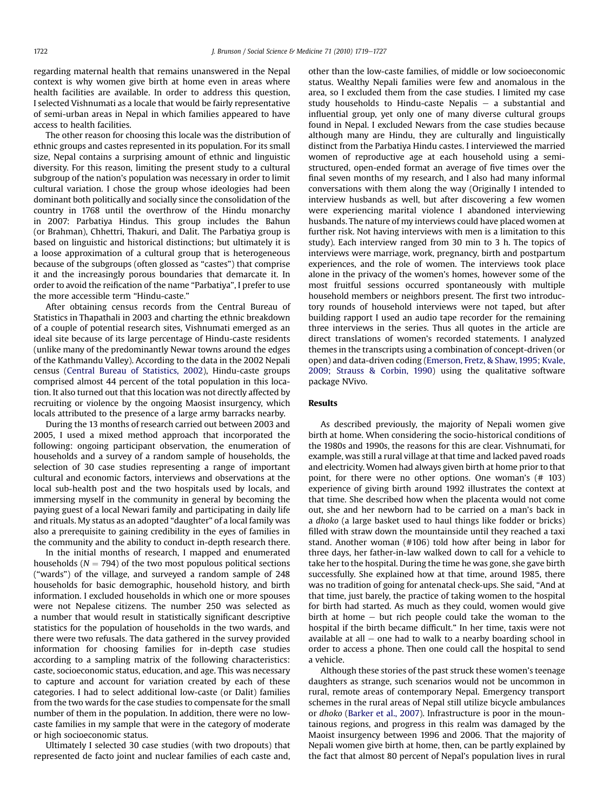regarding maternal health that remains unanswered in the Nepal context is why women give birth at home even in areas where health facilities are available. In order to address this question, I selected Vishnumati as a locale that would be fairly representative of semi-urban areas in Nepal in which families appeared to have access to health facilities.

The other reason for choosing this locale was the distribution of ethnic groups and castes represented in its population. For its small size, Nepal contains a surprising amount of ethnic and linguistic diversity. For this reason, limiting the present study to a cultural subgroup of the nation's population was necessary in order to limit cultural variation. I chose the group whose ideologies had been dominant both politically and socially since the consolidation of the country in 1768 until the overthrow of the Hindu monarchy in 2007: Parbatiya Hindus. This group includes the Bahun (or Brahman), Chhettri, Thakuri, and Dalit. The Parbatiya group is based on linguistic and historical distinctions; but ultimately it is a loose approximation of a cultural group that is heterogeneous because of the subgroups (often glossed as "castes") that comprise it and the increasingly porous boundaries that demarcate it. In order to avoid the reification of the name "Parbatiya", I prefer to use the more accessible term "Hindu-caste."

After obtaining census records from the Central Bureau of Statistics in Thapathali in 2003 and charting the ethnic breakdown of a couple of potential research sites, Vishnumati emerged as an ideal site because of its large percentage of Hindu-caste residents (unlike many of the predominantly Newar towns around the edges of the Kathmandu Valley). According to the data in the 2002 Nepali census ([Central Bureau of Statistics, 2002\)](#page-7-0), Hindu-caste groups comprised almost 44 percent of the total population in this location. It also turned out that this location was not directly affected by recruiting or violence by the ongoing Maosist insurgency, which locals attributed to the presence of a large army barracks nearby.

During the 13 months of research carried out between 2003 and 2005, I used a mixed method approach that incorporated the following: ongoing participant observation, the enumeration of households and a survey of a random sample of households, the selection of 30 case studies representing a range of important cultural and economic factors, interviews and observations at the local sub-health post and the two hospitals used by locals, and immersing myself in the community in general by becoming the paying guest of a local Newari family and participating in daily life and rituals. My status as an adopted "daughter" of a local family was also a prerequisite to gaining credibility in the eyes of families in the community and the ability to conduct in-depth research there.

In the initial months of research, I mapped and enumerated households ( $N = 794$ ) of the two most populous political sections ("wards") of the village, and surveyed a random sample of 248 households for basic demographic, household history, and birth information. I excluded households in which one or more spouses were not Nepalese citizens. The number 250 was selected as a number that would result in statistically significant descriptive statistics for the population of households in the two wards, and there were two refusals. The data gathered in the survey provided information for choosing families for in-depth case studies according to a sampling matrix of the following characteristics: caste, socioeconomic status, education, and age. This was necessary to capture and account for variation created by each of these categories. I had to select additional low-caste (or Dalit) families from the two wards for the case studies to compensate for the small number of them in the population. In addition, there were no lowcaste families in my sample that were in the category of moderate or high socioeconomic status.

Ultimately I selected 30 case studies (with two dropouts) that represented de facto joint and nuclear families of each caste and, other than the low-caste families, of middle or low socioeconomic status. Wealthy Nepali families were few and anomalous in the area, so I excluded them from the case studies. I limited my case study households to Hindu-caste Nepalis  $-$  a substantial and influential group, yet only one of many diverse cultural groups found in Nepal. I excluded Newars from the case studies because although many are Hindu, they are culturally and linguistically distinct from the Parbatiya Hindu castes. I interviewed the married women of reproductive age at each household using a semistructured, open-ended format an average of five times over the final seven months of my research, and I also had many informal conversations with them along the way (Originally I intended to interview husbands as well, but after discovering a few women were experiencing marital violence I abandoned interviewing husbands. The nature of my interviews could have placed women at further risk. Not having interviews with men is a limitation to this study). Each interview ranged from 30 min to 3 h. The topics of interviews were marriage, work, pregnancy, birth and postpartum experiences, and the role of women. The interviews took place alone in the privacy of the women's homes, however some of the most fruitful sessions occurred spontaneously with multiple household members or neighbors present. The first two introductory rounds of household interviews were not taped, but after building rapport I used an audio tape recorder for the remaining three interviews in the series. Thus all quotes in the article are direct translations of women's recorded statements. I analyzed themes in the transcripts using a combination of concept-driven (or open) and data-driven coding [\(Emerson, Fretz, & Shaw, 1995; Kvale,](#page-8-0) [2009; Strauss & Corbin, 1990\)](#page-8-0) using the qualitative software package NVivo.

#### Results

As described previously, the majority of Nepali women give birth at home. When considering the socio-historical conditions of the 1980s and 1990s, the reasons for this are clear. Vishnumati, for example, was still a rural village at that time and lacked paved roads and electricity. Women had always given birth at home prior to that point, for there were no other options. One woman's (# 103) experience of giving birth around 1992 illustrates the context at that time. She described how when the placenta would not come out, she and her newborn had to be carried on a man's back in a dhoko (a large basket used to haul things like fodder or bricks) filled with straw down the mountainside until they reached a taxi stand. Another woman (#106) told how after being in labor for three days, her father-in-law walked down to call for a vehicle to take her to the hospital. During the time he was gone, she gave birth successfully. She explained how at that time, around 1985, there was no tradition of going for antenatal check-ups. She said, "And at that time, just barely, the practice of taking women to the hospital for birth had started. As much as they could, women would give birth at home  $-$  but rich people could take the woman to the hospital if the birth became difficult." In her time, taxis were not available at all  $-$  one had to walk to a nearby boarding school in order to access a phone. Then one could call the hospital to send a vehicle.

Although these stories of the past struck these women's teenage daughters as strange, such scenarios would not be uncommon in rural, remote areas of contemporary Nepal. Emergency transport schemes in the rural areas of Nepal still utilize bicycle ambulances or dhoko ([Barker et al., 2007](#page-7-0)). Infrastructure is poor in the mountainous regions, and progress in this realm was damaged by the Maoist insurgency between 1996 and 2006. That the majority of Nepali women give birth at home, then, can be partly explained by the fact that almost 80 percent of Nepal's population lives in rural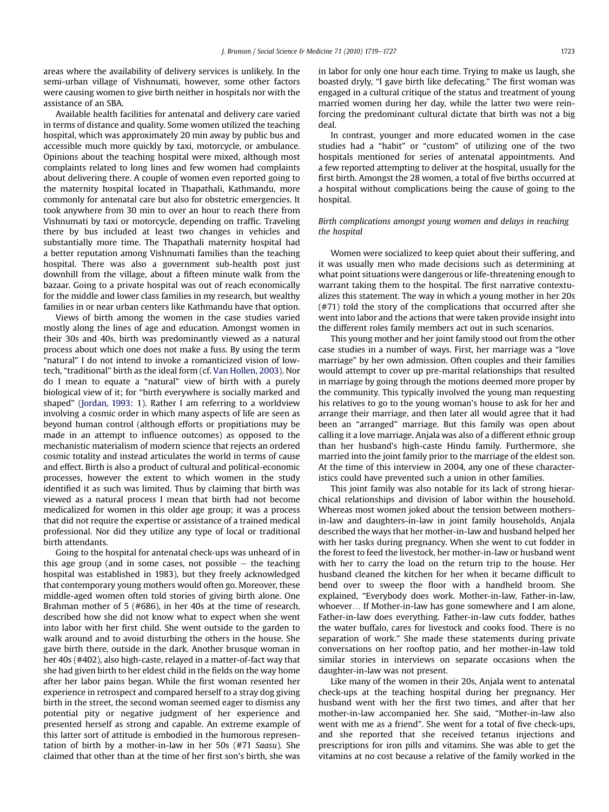areas where the availability of delivery services is unlikely. In the semi-urban village of Vishnumati, however, some other factors were causing women to give birth neither in hospitals nor with the assistance of an SBA.

Available health facilities for antenatal and delivery care varied in terms of distance and quality. Some women utilized the teaching hospital, which was approximately 20 min away by public bus and accessible much more quickly by taxi, motorcycle, or ambulance. Opinions about the teaching hospital were mixed, although most complaints related to long lines and few women had complaints about delivering there. A couple of women even reported going to the maternity hospital located in Thapathali, Kathmandu, more commonly for antenatal care but also for obstetric emergencies. It took anywhere from 30 min to over an hour to reach there from Vishnumati by taxi or motorcycle, depending on traffic. Traveling there by bus included at least two changes in vehicles and substantially more time. The Thapathali maternity hospital had a better reputation among Vishnumati families than the teaching hospital. There was also a government sub-health post just downhill from the village, about a fifteen minute walk from the bazaar. Going to a private hospital was out of reach economically for the middle and lower class families in my research, but wealthy families in or near urban centers like Kathmandu have that option.

Views of birth among the women in the case studies varied mostly along the lines of age and education. Amongst women in their 30s and 40s, birth was predominantly viewed as a natural process about which one does not make a fuss. By using the term "natural" I do not intend to invoke a romanticized vision of lowtech, "traditional" birth as the ideal form (cf. [Van Hollen, 2003\)](#page-8-0). Nor do I mean to equate a "natural" view of birth with a purely biological view of it; for "birth everywhere is socially marked and shaped" ([Jordan, 1993:](#page-8-0) 1). Rather I am referring to a worldview involving a cosmic order in which many aspects of life are seen as beyond human control (although efforts or propitiations may be made in an attempt to influence outcomes) as opposed to the mechanistic materialism of modern science that rejects an ordered cosmic totality and instead articulates the world in terms of cause and effect. Birth is also a product of cultural and political-economic processes, however the extent to which women in the study identified it as such was limited. Thus by claiming that birth was viewed as a natural process I mean that birth had not become medicalized for women in this older age group; it was a process that did not require the expertise or assistance of a trained medical professional. Nor did they utilize any type of local or traditional birth attendants.

Going to the hospital for antenatal check-ups was unheard of in this age group (and in some cases, not possible  $-$  the teaching hospital was established in 1983), but they freely acknowledged that contemporary young mothers would often go. Moreover, these middle-aged women often told stories of giving birth alone. One Brahman mother of 5 (#686), in her 40s at the time of research, described how she did not know what to expect when she went into labor with her first child. She went outside to the garden to walk around and to avoid disturbing the others in the house. She gave birth there, outside in the dark. Another brusque woman in her 40s (#402), also high-caste, relayed in a matter-of-fact way that she had given birth to her eldest child in the fields on the way home after her labor pains began. While the first woman resented her experience in retrospect and compared herself to a stray dog giving birth in the street, the second woman seemed eager to dismiss any potential pity or negative judgment of her experience and presented herself as strong and capable. An extreme example of this latter sort of attitude is embodied in the humorous representation of birth by a mother-in-law in her 50s (#71 Saasu). She claimed that other than at the time of her first son's birth, she was

in labor for only one hour each time. Trying to make us laugh, she boasted dryly, "I gave birth like defecating." The first woman was engaged in a cultural critique of the status and treatment of young married women during her day, while the latter two were reinforcing the predominant cultural dictate that birth was not a big deal.

In contrast, younger and more educated women in the case studies had a "habit" or "custom" of utilizing one of the two hospitals mentioned for series of antenatal appointments. And a few reported attempting to deliver at the hospital, usually for the first birth. Amongst the 28 women, a total of five births occurred at a hospital without complications being the cause of going to the hospital.

#### Birth complications amongst young women and delays in reaching the hospital

Women were socialized to keep quiet about their suffering, and it was usually men who made decisions such as determining at what point situations were dangerous or life-threatening enough to warrant taking them to the hospital. The first narrative contextualizes this statement. The way in which a young mother in her 20s (#71) told the story of the complications that occurred after she went into labor and the actions that were taken provide insight into the different roles family members act out in such scenarios.

This young mother and her joint family stood out from the other case studies in a number of ways. First, her marriage was a "love marriage" by her own admission. Often couples and their families would attempt to cover up pre-marital relationships that resulted in marriage by going through the motions deemed more proper by the community. This typically involved the young man requesting his relatives to go to the young woman's house to ask for her and arrange their marriage, and then later all would agree that it had been an "arranged" marriage. But this family was open about calling it a love marriage. Anjala was also of a different ethnic group than her husband's high-caste Hindu family. Furthermore, she married into the joint family prior to the marriage of the eldest son. At the time of this interview in 2004, any one of these characteristics could have prevented such a union in other families.

This joint family was also notable for its lack of strong hierarchical relationships and division of labor within the household. Whereas most women joked about the tension between mothersin-law and daughters-in-law in joint family households, Anjala described the ways that her mother-in-law and husband helped her with her tasks during pregnancy. When she went to cut fodder in the forest to feed the livestock, her mother-in-law or husband went with her to carry the load on the return trip to the house. Her husband cleaned the kitchen for her when it became difficult to bend over to sweep the floor with a handheld broom. She explained, "Everybody does work. Mother-in-law, Father-in-law, whoever... If Mother-in-law has gone somewhere and I am alone, Father-in-law does everything. Father-in-law cuts fodder, bathes the water buffalo, cares for livestock and cooks food. There is no separation of work." She made these statements during private conversations on her rooftop patio, and her mother-in-law told similar stories in interviews on separate occasions when the daughter-in-law was not present.

Like many of the women in their 20s, Anjala went to antenatal check-ups at the teaching hospital during her pregnancy. Her husband went with her the first two times, and after that her mother-in-law accompanied her. She said, "Mother-in-law also went with me as a friend". She went for a total of five check-ups, and she reported that she received tetanus injections and prescriptions for iron pills and vitamins. She was able to get the vitamins at no cost because a relative of the family worked in the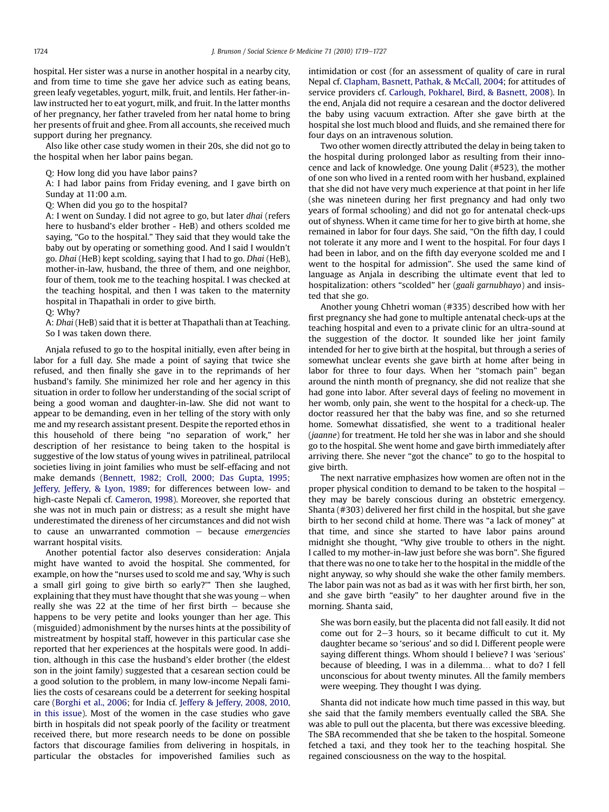hospital. Her sister was a nurse in another hospital in a nearby city, and from time to time she gave her advice such as eating beans, green leafy vegetables, yogurt, milk, fruit, and lentils. Her father-inlaw instructed her to eat yogurt, milk, and fruit. In the latter months of her pregnancy, her father traveled from her natal home to bring her presents of fruit and ghee. From all accounts, she received much support during her pregnancy.

Also like other case study women in their 20s, she did not go to the hospital when her labor pains began.

Q: How long did you have labor pains?

A: I had labor pains from Friday evening, and I gave birth on Sunday at 11:00 a.m.

Q: When did you go to the hospital?

A: I went on Sunday. I did not agree to go, but later dhai (refers here to husband's elder brother - HeB) and others scolded me saying, "Go to the hospital." They said that they would take the baby out by operating or something good. And I said I wouldn't go. Dhai (HeB) kept scolding, saying that I had to go. Dhai (HeB), mother-in-law, husband, the three of them, and one neighbor, four of them, took me to the teaching hospital. I was checked at the teaching hospital, and then I was taken to the maternity hospital in Thapathali in order to give birth.

Q: Why?

A: Dhai (HeB) said that it is better at Thapathali than at Teaching. So I was taken down there.

Anjala refused to go to the hospital initially, even after being in labor for a full day. She made a point of saying that twice she refused, and then finally she gave in to the reprimands of her husband's family. She minimized her role and her agency in this situation in order to follow her understanding of the social script of being a good woman and daughter-in-law. She did not want to appear to be demanding, even in her telling of the story with only me and my research assistant present. Despite the reported ethos in this household of there being "no separation of work," her description of her resistance to being taken to the hospital is suggestive of the low status of young wives in patrilineal, patrilocal societies living in joint families who must be self-effacing and not make demands [\(Bennett, 1982; Croll, 2000; Das Gupta, 1995;](#page-7-0) [Jeffery, Jeffery, & Lyon, 1989](#page-7-0); for differences between low- and high-caste Nepali cf. [Cameron, 1998](#page-7-0)). Moreover, she reported that she was not in much pain or distress; as a result she might have underestimated the direness of her circumstances and did not wish to cause an unwarranted commotion  $-$  because emergencies warrant hospital visits.

Another potential factor also deserves consideration: Anjala might have wanted to avoid the hospital. She commented, for example, on how the "nurses used to scold me and say, 'Why is such a small girl going to give birth so early?'" Then she laughed, explaining that they must have thought that she was young  $-$  when really she was 22 at the time of her first birth  $-$  because she happens to be very petite and looks younger than her age. This (misguided) admonishment by the nurses hints at the possibility of mistreatment by hospital staff, however in this particular case she reported that her experiences at the hospitals were good. In addition, although in this case the husband's elder brother (the eldest son in the joint family) suggested that a cesarean section could be a good solution to the problem, in many low-income Nepali families the costs of cesareans could be a deterrent for seeking hospital care [\(Borghi et al., 2006](#page-7-0); for India cf. [Jeffery & Jeffery, 2008, 2010,](#page-8-0) [in this issue](#page-8-0)). Most of the women in the case studies who gave birth in hospitals did not speak poorly of the facility or treatment received there, but more research needs to be done on possible factors that discourage families from delivering in hospitals, in particular the obstacles for impoverished families such as intimidation or cost (for an assessment of quality of care in rural Nepal cf. [Clapham, Basnett, Pathak, & McCall, 2004](#page-8-0); for attitudes of service providers cf. [Carlough, Pokharel, Bird, & Basnett, 2008\)](#page-7-0). In the end, Anjala did not require a cesarean and the doctor delivered the baby using vacuum extraction. After she gave birth at the hospital she lost much blood and fluids, and she remained there for four days on an intravenous solution.

Two other women directly attributed the delay in being taken to the hospital during prolonged labor as resulting from their innocence and lack of knowledge. One young Dalit (#523), the mother of one son who lived in a rented room with her husband, explained that she did not have very much experience at that point in her life (she was nineteen during her first pregnancy and had only two years of formal schooling) and did not go for antenatal check-ups out of shyness. When it came time for her to give birth at home, she remained in labor for four days. She said, "On the fifth day, I could not tolerate it any more and I went to the hospital. For four days I had been in labor, and on the fifth day everyone scolded me and I went to the hospital for admission". She used the same kind of language as Anjala in describing the ultimate event that led to hospitalization: others "scolded" her (gaali garnubhayo) and insisted that she go.

Another young Chhetri woman (#335) described how with her first pregnancy she had gone to multiple antenatal check-ups at the teaching hospital and even to a private clinic for an ultra-sound at the suggestion of the doctor. It sounded like her joint family intended for her to give birth at the hospital, but through a series of somewhat unclear events she gave birth at home after being in labor for three to four days. When her "stomach pain" began around the ninth month of pregnancy, she did not realize that she had gone into labor. After several days of feeling no movement in her womb, only pain, she went to the hospital for a check-up. The doctor reassured her that the baby was fine, and so she returned home. Somewhat dissatisfied, she went to a traditional healer (jaanne) for treatment. He told her she was in labor and she should go to the hospital. She went home and gave birth immediately after arriving there. She never "got the chance" to go to the hospital to give birth.

The next narrative emphasizes how women are often not in the proper physical condition to demand to be taken to the hospital  $$ they may be barely conscious during an obstetric emergency. Shanta (#303) delivered her first child in the hospital, but she gave birth to her second child at home. There was "a lack of money" at that time, and since she started to have labor pains around midnight she thought, "Why give trouble to others in the night. I called to my mother-in-law just before she was born". She figured that there was no one to take her to the hospital in the middle of the night anyway, so why should she wake the other family members. The labor pain was not as bad as it was with her first birth, her son, and she gave birth "easily" to her daughter around five in the morning. Shanta said,

She was born easily, but the placenta did not fall easily. It did not come out for  $2-3$  hours, so it became difficult to cut it. My daughter became so 'serious' and so did I. Different people were saying different things. Whom should I believe? I was 'serious' because of bleeding, I was in a dilemma... what to do? I fell unconscious for about twenty minutes. All the family members were weeping. They thought I was dying.

Shanta did not indicate how much time passed in this way, but she said that the family members eventually called the SBA. She was able to pull out the placenta, but there was excessive bleeding. The SBA recommended that she be taken to the hospital. Someone fetched a taxi, and they took her to the teaching hospital. She regained consciousness on the way to the hospital.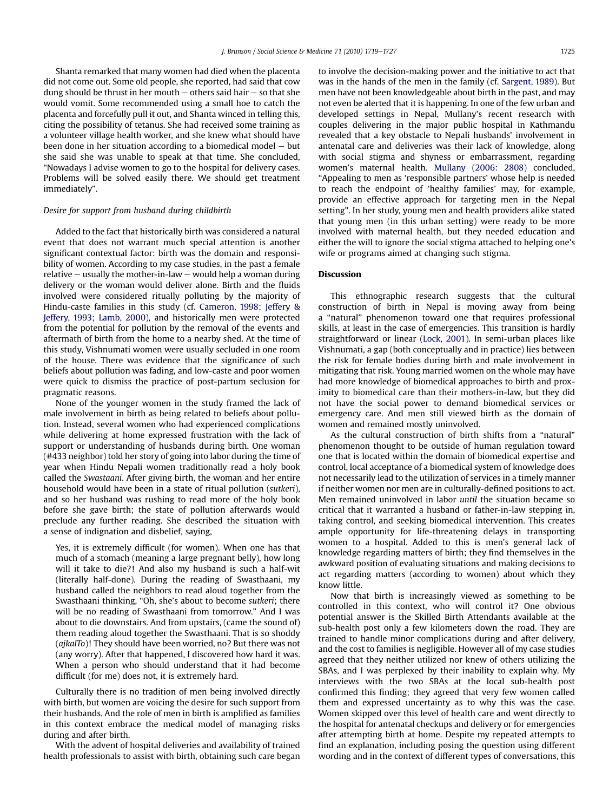Shanta remarked that many women had died when the placenta did not come out. Some old people, she reported, had said that cow dung should be thrust in her mouth  $-$  others said hair  $-$  so that she would vomit. Some recommended using a small hoe to catch the placenta and forcefully pull it out, and Shanta winced in telling this, citing the possibility of tetanus. She had received some training as a volunteer village health worker, and she knew what should have been done in her situation according to a biomedical model  $-$  but she said she was unable to speak at that time. She concluded, "Nowadays I advise women to go to the hospital for delivery cases. Problems will be solved easily there. We should get treatment immediately".

#### Desire for support from husband during childbirth

Added to the fact that historically birth was considered a natural event that does not warrant much special attention is another significant contextual factor: birth was the domain and responsibility of women. According to my case studies, in the past a female relative  $-$  usually the mother-in-law  $-$  would help a woman during delivery or the woman would deliver alone. Birth and the fluids involved were considered ritually polluting by the majority of Hindu-caste families in this study (cf. [Cameron, 1998; Jeffery &](#page-7-0) [Jeffery, 1993; Lamb, 2000](#page-7-0)), and historically men were protected from the potential for pollution by the removal of the events and aftermath of birth from the home to a nearby shed. At the time of this study, Vishnumati women were usually secluded in one room of the house. There was evidence that the significance of such beliefs about pollution was fading, and low-caste and poor women were quick to dismiss the practice of post-partum seclusion for pragmatic reasons.

None of the younger women in the study framed the lack of male involvement in birth as being related to beliefs about pollution. Instead, several women who had experienced complications while delivering at home expressed frustration with the lack of support or understanding of husbands during birth. One woman (#433 neighbor) told her story of going into labor during the time of year when Hindu Nepali women traditionally read a holy book called the Swastaani. After giving birth, the woman and her entire household would have been in a state of ritual pollution (sutkeri), and so her husband was rushing to read more of the holy book before she gave birth; the state of pollution afterwards would preclude any further reading. She described the situation with a sense of indignation and disbelief, saying,

Yes, it is extremely difficult (for women). When one has that much of a stomach (meaning a large pregnant belly), how long will it take to die?! And also my husband is such a half-wit (literally half-done). During the reading of Swasthaani, my husband called the neighbors to read aloud together from the Swasthaani thinking, "Oh, she's about to become sutkeri; there will be no reading of Swasthaani from tomorrow." And I was about to die downstairs. And from upstairs, (came the sound of) them reading aloud together the Swasthaani. That is so shoddy (ajkalTo)! They should have been worried, no? But there was not (any worry). After that happened, I discovered how hard it was. When a person who should understand that it had become difficult (for me) does not, it is extremely hard.

Culturally there is no tradition of men being involved directly with birth, but women are voicing the desire for such support from their husbands. And the role of men in birth is amplified as families in this context embrace the medical model of managing risks during and after birth.

With the advent of hospital deliveries and availability of trained health professionals to assist with birth, obtaining such care began to involve the decision-making power and the initiative to act that was in the hands of the men in the family (cf. [Sargent, 1989](#page-8-0)). But men have not been knowledgeable about birth in the past, and may not even be alerted that it is happening. In one of the few urban and developed settings in Nepal, Mullany's recent research with couples delivering in the major public hospital in Kathmandu revealed that a key obstacle to Nepali husbands' involvement in antenatal care and deliveries was their lack of knowledge, along with social stigma and shyness or embarrassment, regarding women's maternal health. [Mullany \(2006: 2808\)](#page-8-0) concluded, "Appealing to men as 'responsible partners' whose help is needed to reach the endpoint of 'healthy families' may, for example, provide an effective approach for targeting men in the Nepal setting". In her study, young men and health providers alike stated that young men (in this urban setting) were ready to be more involved with maternal health, but they needed education and either the will to ignore the social stigma attached to helping one's wife or programs aimed at changing such stigma.

### Discussion

This ethnographic research suggests that the cultural construction of birth in Nepal is moving away from being a "natural" phenomenon toward one that requires professional skills, at least in the case of emergencies. This transition is hardly straightforward or linear ([Lock, 2001](#page-8-0)). In semi-urban places like Vishnumati, a gap (both conceptually and in practice) lies between the risk for female bodies during birth and male involvement in mitigating that risk. Young married women on the whole may have had more knowledge of biomedical approaches to birth and proximity to biomedical care than their mothers-in-law, but they did not have the social power to demand biomedical services or emergency care. And men still viewed birth as the domain of women and remained mostly uninvolved.

As the cultural construction of birth shifts from a "natural" phenomenon thought to be outside of human regulation toward one that is located within the domain of biomedical expertise and control, local acceptance of a biomedical system of knowledge does not necessarily lead to the utilization of services in a timely manner if neither women nor men are in culturally-defined positions to act. Men remained uninvolved in labor until the situation became so critical that it warranted a husband or father-in-law stepping in, taking control, and seeking biomedical intervention. This creates ample opportunity for life-threatening delays in transporting women to a hospital. Added to this is men's general lack of knowledge regarding matters of birth; they find themselves in the awkward position of evaluating situations and making decisions to act regarding matters (according to women) about which they know little.

Now that birth is increasingly viewed as something to be controlled in this context, who will control it? One obvious potential answer is the Skilled Birth Attendants available at the sub-health post only a few kilometers down the road. They are trained to handle minor complications during and after delivery, and the cost to families is negligible. However all of my case studies agreed that they neither utilized nor knew of others utilizing the SBAs, and I was perplexed by their inability to explain why. My interviews with the two SBAs at the local sub-health post confirmed this finding; they agreed that very few women called them and expressed uncertainty as to why this was the case. Women skipped over this level of health care and went directly to the hospital for antenatal checkups and delivery or for emergencies after attempting birth at home. Despite my repeated attempts to find an explanation, including posing the question using different wording and in the context of different types of conversations, this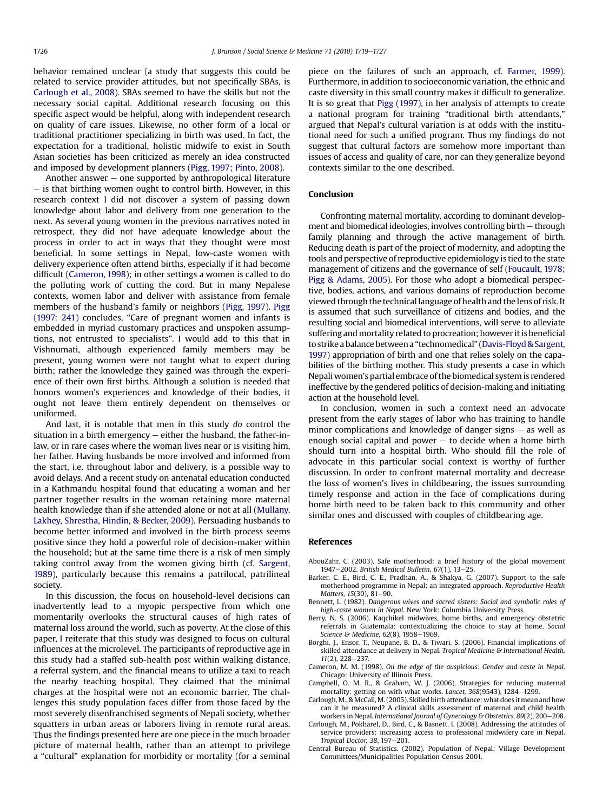<span id="page-7-0"></span>behavior remained unclear (a study that suggests this could be related to service provider attitudes, but not specifically SBAs, is Carlough et al., 2008). SBAs seemed to have the skills but not the necessary social capital. Additional research focusing on this specific aspect would be helpful, along with independent research on quality of care issues. Likewise, no other form of a local or traditional practitioner specializing in birth was used. In fact, the expectation for a traditional, holistic midwife to exist in South Asian societies has been criticized as merely an idea constructed and imposed by development planners ([Pigg, 1997; Pinto, 2008](#page-8-0)).

Another answer  $-$  one supported by anthropological literature  $-$  is that birthing women ought to control birth. However, in this research context I did not discover a system of passing down knowledge about labor and delivery from one generation to the next. As several young women in the previous narratives noted in retrospect, they did not have adequate knowledge about the process in order to act in ways that they thought were most beneficial. In some settings in Nepal, low-caste women with delivery experience often attend births, especially if it had become difficult (Cameron, 1998); in other settings a women is called to do the polluting work of cutting the cord. But in many Nepalese contexts, women labor and deliver with assistance from female members of the husband's family or neighbors ([Pigg, 1997\)](#page-8-0). [Pigg](#page-8-0) [\(1997: 241\)](#page-8-0) concludes, "Care of pregnant women and infants is embedded in myriad customary practices and unspoken assumptions, not entrusted to specialists". I would add to this that in Vishnumati, although experienced family members may be present, young women were not taught what to expect during birth; rather the knowledge they gained was through the experience of their own first births. Although a solution is needed that honors women's experiences and knowledge of their bodies, it ought not leave them entirely dependent on themselves or uniformed.

And last, it is notable that men in this study do control the situation in a birth emergency  $-$  either the husband, the father-inlaw, or in rare cases where the woman lives near or is visiting him, her father. Having husbands be more involved and informed from the start, i.e. throughout labor and delivery, is a possible way to avoid delays. And a recent study on antenatal education conducted in a Kathmandu hospital found that educating a woman and her partner together results in the woman retaining more maternal health knowledge than if she attended alone or not at all [\(Mullany,](#page-8-0) [Lakhey, Shrestha, Hindin, & Becker, 2009\)](#page-8-0). Persuading husbands to become better informed and involved in the birth process seems positive since they hold a powerful role of decision-maker within the household; but at the same time there is a risk of men simply taking control away from the women giving birth (cf. [Sargent,](#page-8-0) [1989](#page-8-0)), particularly because this remains a patrilocal, patrilineal society.

In this discussion, the focus on household-level decisions can inadvertently lead to a myopic perspective from which one momentarily overlooks the structural causes of high rates of maternal loss around the world, such as poverty. At the close of this paper, I reiterate that this study was designed to focus on cultural influences at the microlevel. The participants of reproductive age in this study had a staffed sub-health post within walking distance, a referral system, and the financial means to utilize a taxi to reach the nearby teaching hospital. They claimed that the minimal charges at the hospital were not an economic barrier. The challenges this study population faces differ from those faced by the most severely disenfranchised segments of Nepali society, whether squatters in urban areas or laborers living in remote rural areas. Thus the findings presented here are one piece in the much broader picture of maternal health, rather than an attempt to privilege a "cultural" explanation for morbidity or mortality (for a seminal piece on the failures of such an approach, cf. [Farmer, 1999\)](#page-8-0). Furthermore, in addition to socioeconomic variation, the ethnic and caste diversity in this small country makes it difficult to generalize. It is so great that [Pigg \(1997\),](#page-8-0) in her analysis of attempts to create a national program for training "traditional birth attendants," argued that Nepal's cultural variation is at odds with the institutional need for such a unified program. Thus my findings do not suggest that cultural factors are somehow more important than issues of access and quality of care, nor can they generalize beyond contexts similar to the one described.

#### Conclusion

Confronting maternal mortality, according to dominant development and biomedical ideologies, involves controlling birth  $-$  through family planning and through the active management of birth. Reducing death is part of the project of modernity, and adopting the tools and perspective of reproductive epidemiology is tied to the state management of citizens and the governance of self [\(Foucault, 1978;](#page-8-0) [Pigg & Adams, 2005\)](#page-8-0). For those who adopt a biomedical perspective, bodies, actions, and various domains of reproduction become viewed through the technicallanguage of health and the lens of risk. It is assumed that such surveillance of citizens and bodies, and the resulting social and biomedical interventions, will serve to alleviate suffering and mortality related to procreation; however it is beneficial to strike a balance between a "technomedical" ([Davis-Floyd & Sargent,](#page-8-0) [1997\)](#page-8-0) appropriation of birth and one that relies solely on the capabilities of the birthing mother. This study presents a case in which Nepali women's partial embrace of the biomedical system is rendered ineffective by the gendered politics of decision-making and initiating action at the household level.

In conclusion, women in such a context need an advocate present from the early stages of labor who has training to handle minor complications and knowledge of danger signs  $-$  as well as enough social capital and power  $-$  to decide when a home birth should turn into a hospital birth. Who should fill the role of advocate in this particular social context is worthy of further discussion. In order to confront maternal mortality and decrease the loss of women's lives in childbearing, the issues surrounding timely response and action in the face of complications during home birth need to be taken back to this community and other similar ones and discussed with couples of childbearing age.

#### References

- AbouZahr, C. (2003). Safe motherhood: a brief history of the global movement 1947-2002. British Medical Bulletin, 67(1), 13-25.
- Barker, C. E., Bird, C. E., Pradhan, A., & Shakya, G. (2007). Support to the safe motherhood programme in Nepal: an integrated approach. Reproductive Health Matters,  $15(30)$ ,  $81-90$ .
- Bennett, L. (1982). Dangerous wives and sacred sisters: Social and symbolic roles of high-caste women in Nepal. New York: Columbia University Press.
- Berry, N. S. (2006). Kaqchikel midwives, home births, and emergency obstetric referrals in Guatemala: contextualizing the choice to stay at home. Social Science & Medicine, 62(8), 1958-1969.
- Borghi, J., Ensor, T., Neupane, B. D., & Tiwari, S. (2006). Financial implications of skilled attendance at delivery in Nepal. Tropical Medicine & International Health,  $11(2)$ ,  $228 - 237$ .
- Cameron, M. M. (1998). On the edge of the auspicious: Gender and caste in Nepal. Chicago: University of Illinois Press.
- Campbell, O. M. R., & Graham, W. J. (2006). Strategies for reducing maternal mortality: getting on with what works. Lancet, 368(9543), 1284-1299.
- Carlough, M., & McCall, M. (2005). Skilled birth attendance: what does itmean and how can it be measured? A clinical skills assessment of maternal and child health workers in Nepal. International Journal of Gynecology & Obstetrics, 89(2), 200-208.
- Carlough, M., Pokharel, D., Bird, C., & Basnett, I. (2008). Addressing the attitudes of service providers: increasing access to professional midwifery care in Nepal. Tropical Doctor, 38, 197-201.
- Central Bureau of Statistics. (2002). Population of Nepal: Village Development Committees/Municipalities Population Census 2001.